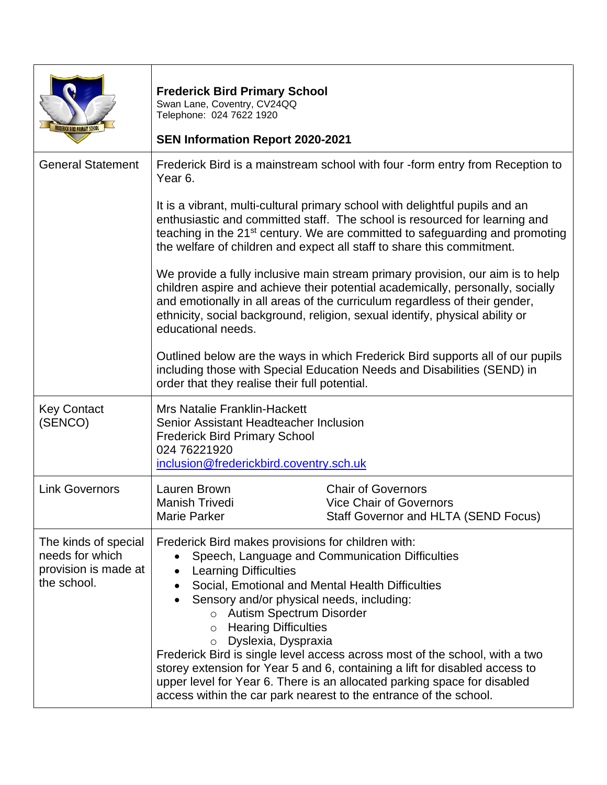| FREDERICK BIRD PRIMARY SCHOO                                                   | <b>Frederick Bird Primary School</b><br>Swan Lane, Coventry, CV24QQ<br>Telephone: 024 7622 1920<br><b>SEN Information Report 2020-2021</b>                                                                                                                                                                                                                                                                                                                                                                                                                                                                                                                      |                                                                                                                                                                                                                                                                                                                                  |
|--------------------------------------------------------------------------------|-----------------------------------------------------------------------------------------------------------------------------------------------------------------------------------------------------------------------------------------------------------------------------------------------------------------------------------------------------------------------------------------------------------------------------------------------------------------------------------------------------------------------------------------------------------------------------------------------------------------------------------------------------------------|----------------------------------------------------------------------------------------------------------------------------------------------------------------------------------------------------------------------------------------------------------------------------------------------------------------------------------|
| <b>General Statement</b>                                                       | Year <sub>6</sub> .                                                                                                                                                                                                                                                                                                                                                                                                                                                                                                                                                                                                                                             | Frederick Bird is a mainstream school with four -form entry from Reception to                                                                                                                                                                                                                                                    |
|                                                                                |                                                                                                                                                                                                                                                                                                                                                                                                                                                                                                                                                                                                                                                                 | It is a vibrant, multi-cultural primary school with delightful pupils and an<br>enthusiastic and committed staff. The school is resourced for learning and<br>teaching in the 21 <sup>st</sup> century. We are committed to safeguarding and promoting<br>the welfare of children and expect all staff to share this commitment. |
|                                                                                | We provide a fully inclusive main stream primary provision, our aim is to help<br>children aspire and achieve their potential academically, personally, socially<br>and emotionally in all areas of the curriculum regardless of their gender,<br>ethnicity, social background, religion, sexual identify, physical ability or<br>educational needs.                                                                                                                                                                                                                                                                                                            |                                                                                                                                                                                                                                                                                                                                  |
|                                                                                | order that they realise their full potential.                                                                                                                                                                                                                                                                                                                                                                                                                                                                                                                                                                                                                   | Outlined below are the ways in which Frederick Bird supports all of our pupils<br>including those with Special Education Needs and Disabilities (SEND) in                                                                                                                                                                        |
| <b>Key Contact</b><br>(SENCO)                                                  | <b>Mrs Natalie Franklin-Hackett</b><br>Senior Assistant Headteacher Inclusion<br><b>Frederick Bird Primary School</b><br>024 76221920<br>inclusion@frederickbird.coventry.sch.uk                                                                                                                                                                                                                                                                                                                                                                                                                                                                                |                                                                                                                                                                                                                                                                                                                                  |
| <b>Link Governors</b>                                                          | Lauren Brown<br><b>Manish Trivedi</b><br>Marie Parker                                                                                                                                                                                                                                                                                                                                                                                                                                                                                                                                                                                                           | <b>Chair of Governors</b><br><b>Vice Chair of Governors</b><br>Staff Governor and HLTA (SEND Focus)                                                                                                                                                                                                                              |
| The kinds of special<br>needs for which<br>provision is made at<br>the school. | Frederick Bird makes provisions for children with:<br>Speech, Language and Communication Difficulties<br><b>Learning Difficulties</b><br>Social, Emotional and Mental Health Difficulties<br>Sensory and/or physical needs, including:<br>o Autism Spectrum Disorder<br><b>Hearing Difficulties</b><br>$\circ$<br>Dyslexia, Dyspraxia<br>$\circ$<br>Frederick Bird is single level access across most of the school, with a two<br>storey extension for Year 5 and 6, containing a lift for disabled access to<br>upper level for Year 6. There is an allocated parking space for disabled<br>access within the car park nearest to the entrance of the school. |                                                                                                                                                                                                                                                                                                                                  |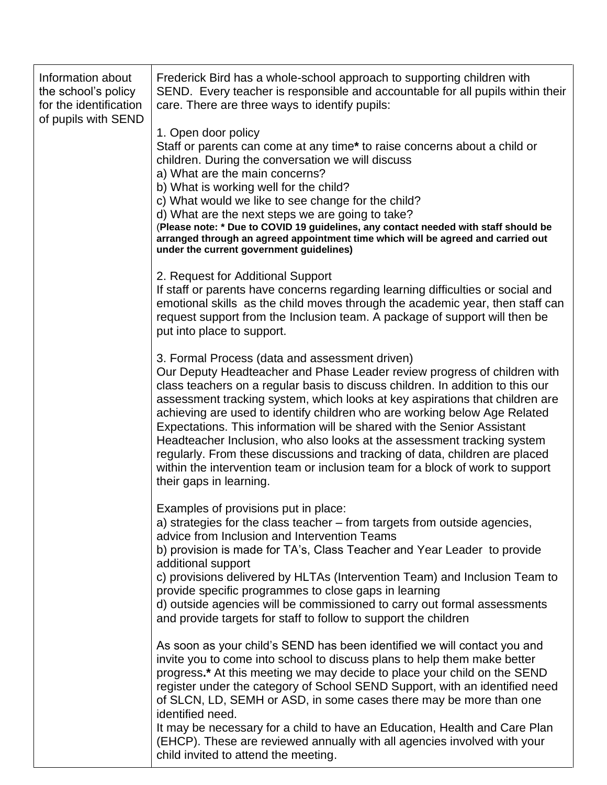| Information about<br>the school's policy<br>for the identification<br>of pupils with SEND | Frederick Bird has a whole-school approach to supporting children with<br>SEND. Every teacher is responsible and accountable for all pupils within their<br>care. There are three ways to identify pupils:                                                                                                                                                                                                                                                                                                                                                                                                                                                                                                                 |
|-------------------------------------------------------------------------------------------|----------------------------------------------------------------------------------------------------------------------------------------------------------------------------------------------------------------------------------------------------------------------------------------------------------------------------------------------------------------------------------------------------------------------------------------------------------------------------------------------------------------------------------------------------------------------------------------------------------------------------------------------------------------------------------------------------------------------------|
|                                                                                           | 1. Open door policy<br>Staff or parents can come at any time* to raise concerns about a child or<br>children. During the conversation we will discuss<br>a) What are the main concerns?<br>b) What is working well for the child?                                                                                                                                                                                                                                                                                                                                                                                                                                                                                          |
|                                                                                           | c) What would we like to see change for the child?<br>d) What are the next steps we are going to take?<br>(Please note: * Due to COVID 19 guidelines, any contact needed with staff should be<br>arranged through an agreed appointment time which will be agreed and carried out<br>under the current government guidelines)                                                                                                                                                                                                                                                                                                                                                                                              |
|                                                                                           | 2. Request for Additional Support<br>If staff or parents have concerns regarding learning difficulties or social and<br>emotional skills as the child moves through the academic year, then staff can<br>request support from the Inclusion team. A package of support will then be<br>put into place to support.                                                                                                                                                                                                                                                                                                                                                                                                          |
|                                                                                           | 3. Formal Process (data and assessment driven)<br>Our Deputy Headteacher and Phase Leader review progress of children with<br>class teachers on a regular basis to discuss children. In addition to this our<br>assessment tracking system, which looks at key aspirations that children are<br>achieving are used to identify children who are working below Age Related<br>Expectations. This information will be shared with the Senior Assistant<br>Headteacher Inclusion, who also looks at the assessment tracking system<br>regularly. From these discussions and tracking of data, children are placed<br>within the intervention team or inclusion team for a block of work to support<br>their gaps in learning. |
|                                                                                           | Examples of provisions put in place:<br>a) strategies for the class teacher – from targets from outside agencies,<br>advice from Inclusion and Intervention Teams<br>b) provision is made for TA's, Class Teacher and Year Leader to provide<br>additional support<br>c) provisions delivered by HLTAs (Intervention Team) and Inclusion Team to<br>provide specific programmes to close gaps in learning<br>d) outside agencies will be commissioned to carry out formal assessments<br>and provide targets for staff to follow to support the children                                                                                                                                                                   |
|                                                                                           | As soon as your child's SEND has been identified we will contact you and<br>invite you to come into school to discuss plans to help them make better<br>progress.* At this meeting we may decide to place your child on the SEND<br>register under the category of School SEND Support, with an identified need<br>of SLCN, LD, SEMH or ASD, in some cases there may be more than one<br>identified need.<br>It may be necessary for a child to have an Education, Health and Care Plan<br>(EHCP). These are reviewed annually with all agencies involved with your<br>child invited to attend the meeting.                                                                                                                |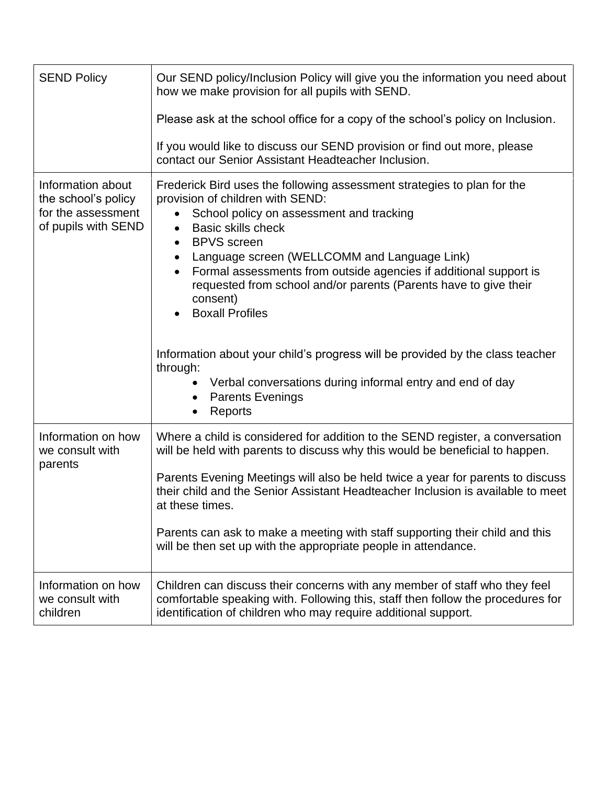| <b>SEND Policy</b>                                                                    | Our SEND policy/Inclusion Policy will give you the information you need about<br>how we make provision for all pupils with SEND.                                                                                                                                                                                                                                                                                                                                                                                                                                                                                                                                                                                                     |  |  |
|---------------------------------------------------------------------------------------|--------------------------------------------------------------------------------------------------------------------------------------------------------------------------------------------------------------------------------------------------------------------------------------------------------------------------------------------------------------------------------------------------------------------------------------------------------------------------------------------------------------------------------------------------------------------------------------------------------------------------------------------------------------------------------------------------------------------------------------|--|--|
|                                                                                       | Please ask at the school office for a copy of the school's policy on Inclusion.                                                                                                                                                                                                                                                                                                                                                                                                                                                                                                                                                                                                                                                      |  |  |
|                                                                                       | If you would like to discuss our SEND provision or find out more, please<br>contact our Senior Assistant Headteacher Inclusion.                                                                                                                                                                                                                                                                                                                                                                                                                                                                                                                                                                                                      |  |  |
| Information about<br>the school's policy<br>for the assessment<br>of pupils with SEND | Frederick Bird uses the following assessment strategies to plan for the<br>provision of children with SEND:<br>School policy on assessment and tracking<br><b>Basic skills check</b><br>$\bullet$<br><b>BPVS</b> screen<br>$\bullet$<br>Language screen (WELLCOMM and Language Link)<br>$\bullet$<br>Formal assessments from outside agencies if additional support is<br>$\bullet$<br>requested from school and/or parents (Parents have to give their<br>consent)<br><b>Boxall Profiles</b><br>Information about your child's progress will be provided by the class teacher<br>through:<br>Verbal conversations during informal entry and end of day<br>$\bullet$<br><b>Parents Evenings</b><br>$\bullet$<br>Reports<br>$\bullet$ |  |  |
| Information on how<br>we consult with<br>parents                                      | Where a child is considered for addition to the SEND register, a conversation<br>will be held with parents to discuss why this would be beneficial to happen.<br>Parents Evening Meetings will also be held twice a year for parents to discuss<br>their child and the Senior Assistant Headteacher Inclusion is available to meet<br>at these times.<br>Parents can ask to make a meeting with staff supporting their child and this<br>will be then set up with the appropriate people in attendance.                                                                                                                                                                                                                              |  |  |
| Information on how<br>we consult with<br>children                                     | Children can discuss their concerns with any member of staff who they feel<br>comfortable speaking with. Following this, staff then follow the procedures for<br>identification of children who may require additional support.                                                                                                                                                                                                                                                                                                                                                                                                                                                                                                      |  |  |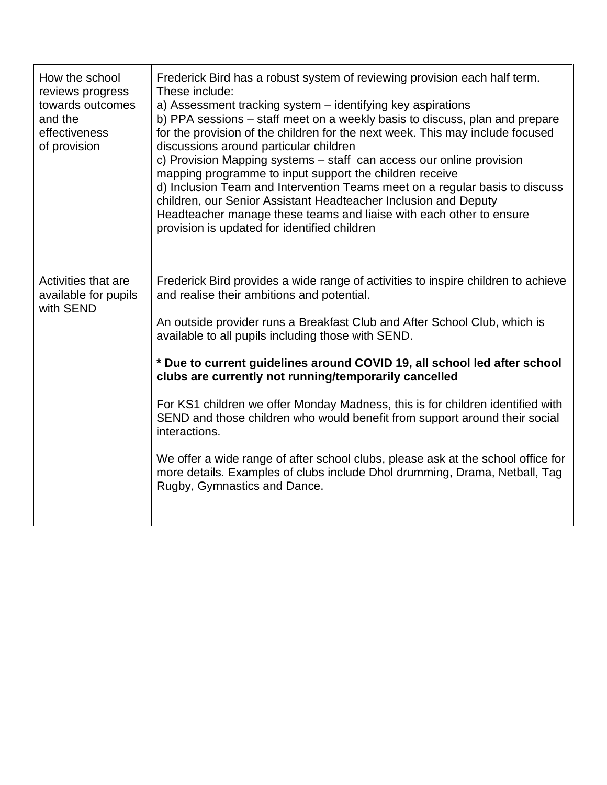| How the school<br>reviews progress<br>towards outcomes<br>and the<br>effectiveness<br>of provision | Frederick Bird has a robust system of reviewing provision each half term.<br>These include:<br>a) Assessment tracking system - identifying key aspirations<br>b) PPA sessions – staff meet on a weekly basis to discuss, plan and prepare<br>for the provision of the children for the next week. This may include focused<br>discussions around particular children<br>c) Provision Mapping systems – staff can access our online provision<br>mapping programme to input support the children receive<br>d) Inclusion Team and Intervention Teams meet on a regular basis to discuss<br>children, our Senior Assistant Headteacher Inclusion and Deputy<br>Headteacher manage these teams and liaise with each other to ensure<br>provision is updated for identified children |
|----------------------------------------------------------------------------------------------------|----------------------------------------------------------------------------------------------------------------------------------------------------------------------------------------------------------------------------------------------------------------------------------------------------------------------------------------------------------------------------------------------------------------------------------------------------------------------------------------------------------------------------------------------------------------------------------------------------------------------------------------------------------------------------------------------------------------------------------------------------------------------------------|
| Activities that are<br>available for pupils<br>with SEND                                           | Frederick Bird provides a wide range of activities to inspire children to achieve<br>and realise their ambitions and potential.                                                                                                                                                                                                                                                                                                                                                                                                                                                                                                                                                                                                                                                  |
|                                                                                                    | An outside provider runs a Breakfast Club and After School Club, which is<br>available to all pupils including those with SEND.                                                                                                                                                                                                                                                                                                                                                                                                                                                                                                                                                                                                                                                  |
|                                                                                                    | * Due to current guidelines around COVID 19, all school led after school<br>clubs are currently not running/temporarily cancelled                                                                                                                                                                                                                                                                                                                                                                                                                                                                                                                                                                                                                                                |
|                                                                                                    | For KS1 children we offer Monday Madness, this is for children identified with<br>SEND and those children who would benefit from support around their social<br>interactions.                                                                                                                                                                                                                                                                                                                                                                                                                                                                                                                                                                                                    |
|                                                                                                    | We offer a wide range of after school clubs, please ask at the school office for<br>more details. Examples of clubs include Dhol drumming, Drama, Netball, Tag<br>Rugby, Gymnastics and Dance.                                                                                                                                                                                                                                                                                                                                                                                                                                                                                                                                                                                   |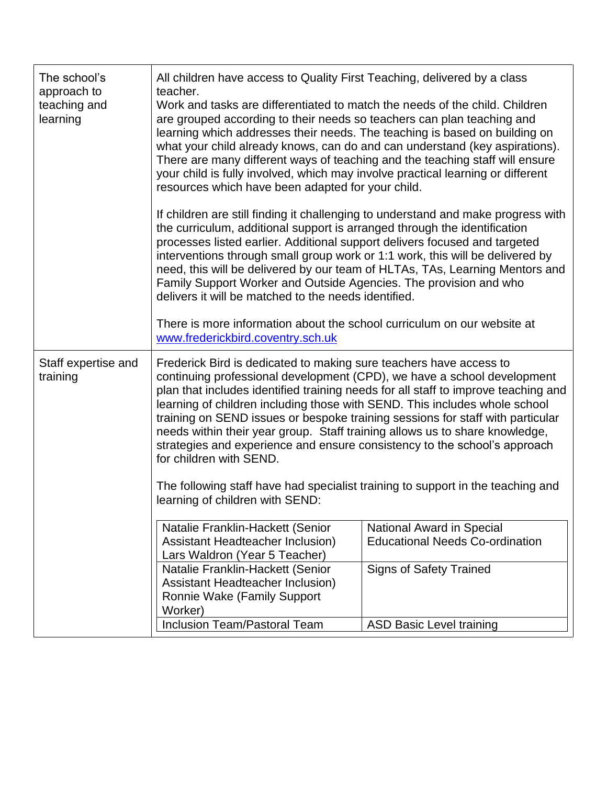| The school's<br>approach to<br>teaching and<br>learning | All children have access to Quality First Teaching, delivered by a class<br>teacher.<br>Work and tasks are differentiated to match the needs of the child. Children<br>are grouped according to their needs so teachers can plan teaching and<br>learning which addresses their needs. The teaching is based on building on<br>what your child already knows, can do and can understand (key aspirations).<br>There are many different ways of teaching and the teaching staff will ensure<br>your child is fully involved, which may involve practical learning or different<br>resources which have been adapted for your child.                                                                               |                                                                                                              |  |  |
|---------------------------------------------------------|------------------------------------------------------------------------------------------------------------------------------------------------------------------------------------------------------------------------------------------------------------------------------------------------------------------------------------------------------------------------------------------------------------------------------------------------------------------------------------------------------------------------------------------------------------------------------------------------------------------------------------------------------------------------------------------------------------------|--------------------------------------------------------------------------------------------------------------|--|--|
|                                                         | If children are still finding it challenging to understand and make progress with<br>the curriculum, additional support is arranged through the identification<br>processes listed earlier. Additional support delivers focused and targeted<br>interventions through small group work or 1:1 work, this will be delivered by<br>need, this will be delivered by our team of HLTAs, TAs, Learning Mentors and<br>Family Support Worker and Outside Agencies. The provision and who<br>delivers it will be matched to the needs identified.<br>There is more information about the school curriculum on our website at                                                                                            |                                                                                                              |  |  |
|                                                         | www.frederickbird.coventry.sch.uk                                                                                                                                                                                                                                                                                                                                                                                                                                                                                                                                                                                                                                                                                |                                                                                                              |  |  |
| Staff expertise and<br>training                         | Frederick Bird is dedicated to making sure teachers have access to<br>continuing professional development (CPD), we have a school development<br>plan that includes identified training needs for all staff to improve teaching and<br>learning of children including those with SEND. This includes whole school<br>training on SEND issues or bespoke training sessions for staff with particular<br>needs within their year group. Staff training allows us to share knowledge,<br>strategies and experience and ensure consistency to the school's approach<br>for children with SEND.<br>The following staff have had specialist training to support in the teaching and<br>learning of children with SEND: |                                                                                                              |  |  |
|                                                         | Natalie Franklin-Hackett (Senior<br>Assistant Headteacher Inclusion)<br>Lars Waldron (Year 5 Teacher)<br>Natalie Franklin-Hackett (Senior                                                                                                                                                                                                                                                                                                                                                                                                                                                                                                                                                                        | <b>National Award in Special</b><br><b>Educational Needs Co-ordination</b><br><b>Signs of Safety Trained</b> |  |  |
|                                                         | Assistant Headteacher Inclusion)<br>Ronnie Wake (Family Support<br>Worker)                                                                                                                                                                                                                                                                                                                                                                                                                                                                                                                                                                                                                                       |                                                                                                              |  |  |
|                                                         | Inclusion Team/Pastoral Team                                                                                                                                                                                                                                                                                                                                                                                                                                                                                                                                                                                                                                                                                     | <b>ASD Basic Level training</b>                                                                              |  |  |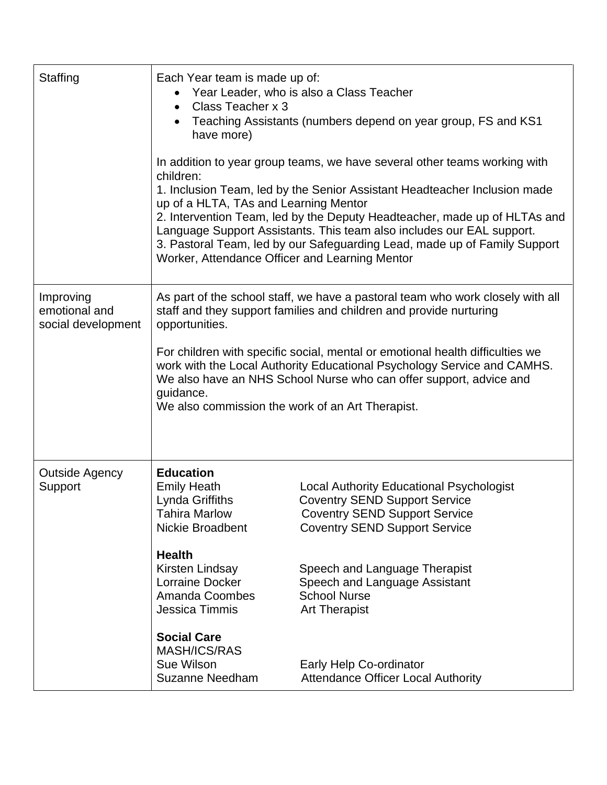| Staffing                                         | Each Year team is made up of:<br>Class Teacher x 3<br>$\bullet$<br>have more)<br>children:<br>up of a HLTA, TAs and Learning Mentor<br>Worker, Attendance Officer and Learning Mentor                                                                                                                                                                                                                                                                                     | Year Leader, who is also a Class Teacher<br>Teaching Assistants (numbers depend on year group, FS and KS1<br>In addition to year group teams, we have several other teams working with<br>1. Inclusion Team, led by the Senior Assistant Headteacher Inclusion made<br>2. Intervention Team, led by the Deputy Headteacher, made up of HLTAs and<br>Language Support Assistants. This team also includes our EAL support.<br>3. Pastoral Team, led by our Safeguarding Lead, made up of Family Support |
|--------------------------------------------------|---------------------------------------------------------------------------------------------------------------------------------------------------------------------------------------------------------------------------------------------------------------------------------------------------------------------------------------------------------------------------------------------------------------------------------------------------------------------------|--------------------------------------------------------------------------------------------------------------------------------------------------------------------------------------------------------------------------------------------------------------------------------------------------------------------------------------------------------------------------------------------------------------------------------------------------------------------------------------------------------|
| Improving<br>emotional and<br>social development | As part of the school staff, we have a pastoral team who work closely with all<br>staff and they support families and children and provide nurturing<br>opportunities.<br>For children with specific social, mental or emotional health difficulties we<br>work with the Local Authority Educational Psychology Service and CAMHS.<br>We also have an NHS School Nurse who can offer support, advice and<br>guidance.<br>We also commission the work of an Art Therapist. |                                                                                                                                                                                                                                                                                                                                                                                                                                                                                                        |
| <b>Outside Agency</b><br>Support                 | <b>Education</b><br><b>Emily Heath</b><br>Lynda Griffiths<br>Tahira Marlow<br>Nickie Broadbent<br><b>Health</b><br>Kirsten Lindsay<br><b>Lorraine Docker</b><br>Amanda Coombes<br>Jessica Timmis<br><b>Social Care</b><br><b>MASH/ICS/RAS</b><br>Sue Wilson<br><b>Suzanne Needham</b>                                                                                                                                                                                     | <b>Local Authority Educational Psychologist</b><br><b>Coventry SEND Support Service</b><br><b>Coventry SEND Support Service</b><br><b>Coventry SEND Support Service</b><br>Speech and Language Therapist<br>Speech and Language Assistant<br><b>School Nurse</b><br><b>Art Therapist</b><br>Early Help Co-ordinator<br><b>Attendance Officer Local Authority</b>                                                                                                                                       |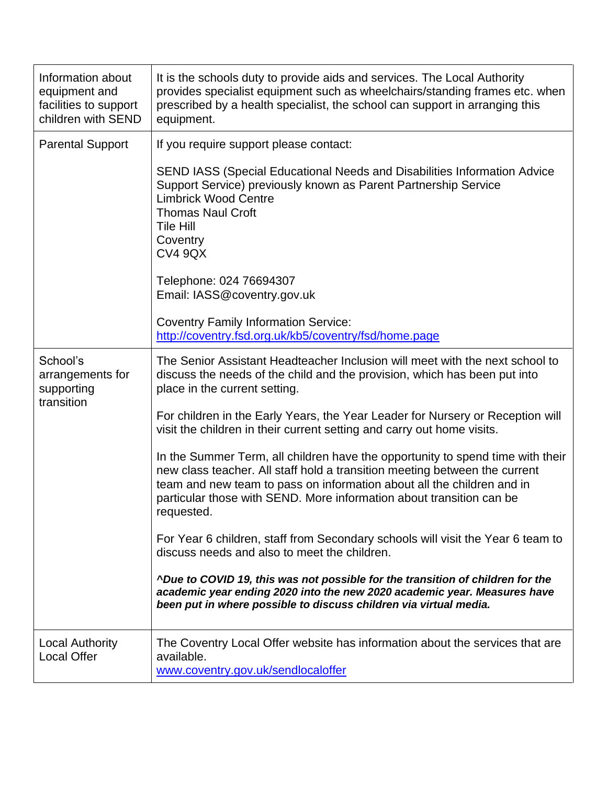| Information about<br>equipment and<br>facilities to support<br>children with SEND | It is the schools duty to provide aids and services. The Local Authority<br>provides specialist equipment such as wheelchairs/standing frames etc. when<br>prescribed by a health specialist, the school can support in arranging this<br>equipment.                                                                         |
|-----------------------------------------------------------------------------------|------------------------------------------------------------------------------------------------------------------------------------------------------------------------------------------------------------------------------------------------------------------------------------------------------------------------------|
| <b>Parental Support</b>                                                           | If you require support please contact:                                                                                                                                                                                                                                                                                       |
|                                                                                   | SEND IASS (Special Educational Needs and Disabilities Information Advice<br>Support Service) previously known as Parent Partnership Service<br><b>Limbrick Wood Centre</b><br><b>Thomas Naul Croft</b><br><b>Tile Hill</b><br>Coventry<br><b>CV4 9QX</b>                                                                     |
|                                                                                   | Telephone: 024 76694307<br>Email: IASS@coventry.gov.uk                                                                                                                                                                                                                                                                       |
|                                                                                   | <b>Coventry Family Information Service:</b><br>http://coventry.fsd.org.uk/kb5/coventry/fsd/home.page                                                                                                                                                                                                                         |
| School's<br>arrangements for<br>supporting<br>transition                          | The Senior Assistant Headteacher Inclusion will meet with the next school to<br>discuss the needs of the child and the provision, which has been put into<br>place in the current setting.                                                                                                                                   |
|                                                                                   | For children in the Early Years, the Year Leader for Nursery or Reception will<br>visit the children in their current setting and carry out home visits.                                                                                                                                                                     |
|                                                                                   | In the Summer Term, all children have the opportunity to spend time with their<br>new class teacher. All staff hold a transition meeting between the current<br>team and new team to pass on information about all the children and in<br>particular those with SEND. More information about transition can be<br>requested. |
|                                                                                   | For Year 6 children, staff from Secondary schools will visit the Year 6 team to<br>discuss needs and also to meet the children.                                                                                                                                                                                              |
|                                                                                   | <b>^Due to COVID 19, this was not possible for the transition of children for the</b><br>academic year ending 2020 into the new 2020 academic year. Measures have<br>been put in where possible to discuss children via virtual media.                                                                                       |
| Local Authority<br><b>Local Offer</b>                                             | The Coventry Local Offer website has information about the services that are<br>available.<br>www.coventry.gov.uk/sendlocaloffer                                                                                                                                                                                             |